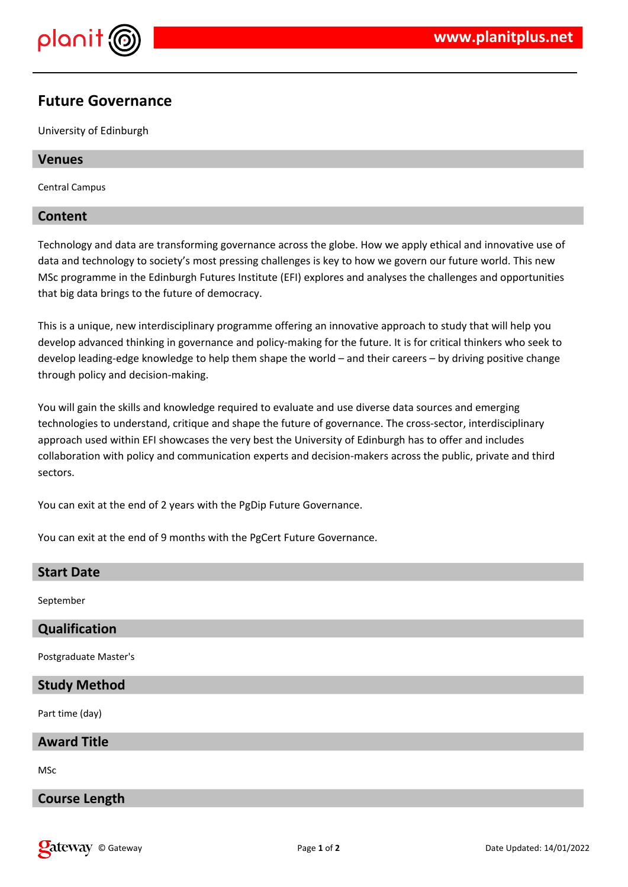

# **Future Governance**

University of Edinburgh

# **Venues**

Central Campus

# **Content**

Technology and data are transforming governance across the globe. How we apply ethical and innovative use of data and technology to society's most pressing challenges is key to how we govern our future world. This new MSc programme in the Edinburgh Futures Institute (EFI) explores and analyses the challenges and opportunities that big data brings to the future of democracy.

This is a unique, new interdisciplinary programme offering an innovative approach to study that will help you develop advanced thinking in governance and policy-making for the future. It is for critical thinkers who seek to develop leading-edge knowledge to help them shape the world – and their careers – by driving positive change through policy and decision-making.

You will gain the skills and knowledge required to evaluate and use diverse data sources and emerging technologies to understand, critique and shape the future of governance. The cross-sector, interdisciplinary approach used within EFI showcases the very best the University of Edinburgh has to offer and includes collaboration with policy and communication experts and decision-makers across the public, private and third sectors.

You can exit at the end of 2 years with the PgDip Future Governance.

You can exit at the end of 9 months with the PgCert Future Governance.

| <b>Start Date</b>     |
|-----------------------|
|                       |
| September             |
|                       |
| Qualification         |
|                       |
| Postgraduate Master's |
|                       |
| <b>Study Method</b>   |
|                       |
| Part time (day)       |
|                       |
| <b>Award Title</b>    |
|                       |
| <b>MSc</b>            |
|                       |
| <b>Course Length</b>  |